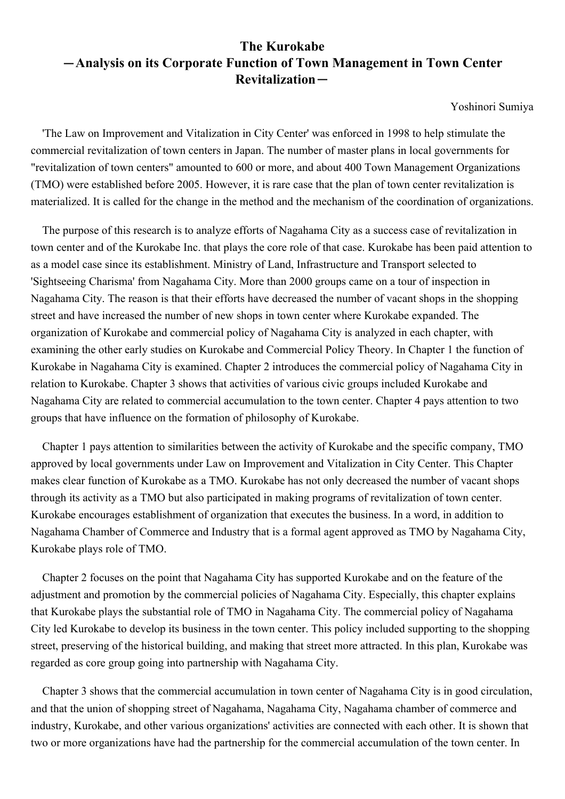## **The Kurokabe** -**Analysis on its Corporate Function of Town Management in Town Center Revitalization**-

Yoshinori Sumiya

'The Law on Improvement and Vitalization in City Center' was enforced in 1998 to help stimulate the commercial revitalization of town centers in Japan. The number of master plans in local governments for "revitalization of town centers" amounted to 600 or more, and about 400 Town Management Organizations (TMO) were established before 2005. However, it is rare case that the plan of town center revitalization is materialized. It is called for the change in the method and the mechanism of the coordination of organizations.

The purpose of this research is to analyze efforts of Nagahama City as a success case of revitalization in town center and of the Kurokabe Inc. that plays the core role of that case. Kurokabe has been paid attention to as a model case since its establishment. Ministry of Land, Infrastructure and Transport selected to 'Sightseeing Charisma' from Nagahama City. More than 2000 groups came on a tour of inspection in Nagahama City. The reason is that their efforts have decreased the number of vacant shops in the shopping street and have increased the number of new shops in town center where Kurokabe expanded. The organization of Kurokabe and commercial policy of Nagahama City is analyzed in each chapter, with examining the other early studies on Kurokabe and Commercial Policy Theory. In Chapter 1 the function of Kurokabe in Nagahama City is examined. Chapter 2 introduces the commercial policy of Nagahama City in relation to Kurokabe. Chapter 3 shows that activities of various civic groups included Kurokabe and Nagahama City are related to commercial accumulation to the town center. Chapter 4 pays attention to two groups that have influence on the formation of philosophy of Kurokabe.

Chapter 1 pays attention to similarities between the activity of Kurokabe and the specific company, TMO approved by local governments under Law on Improvement and Vitalization in City Center. This Chapter makes clear function of Kurokabe as a TMO. Kurokabe has not only decreased the number of vacant shops through its activity as a TMO but also participated in making programs of revitalization of town center. Kurokabe encourages establishment of organization that executes the business. In a word, in addition to Nagahama Chamber of Commerce and Industry that is a formal agent approved as TMO by Nagahama City, Kurokabe plays role of TMO.

Chapter 2 focuses on the point that Nagahama City has supported Kurokabe and on the feature of the adjustment and promotion by the commercial policies of Nagahama City. Especially, this chapter explains that Kurokabe plays the substantial role of TMO in Nagahama City. The commercial policy of Nagahama City led Kurokabe to develop its business in the town center. This policy included supporting to the shopping street, preserving of the historical building, and making that street more attracted. In this plan, Kurokabe was regarded as core group going into partnership with Nagahama City.

Chapter 3 shows that the commercial accumulation in town center of Nagahama City is in good circulation, and that the union of shopping street of Nagahama, Nagahama City, Nagahama chamber of commerce and industry, Kurokabe, and other various organizations' activities are connected with each other. It is shown that two or more organizations have had the partnership for the commercial accumulation of the town center. In